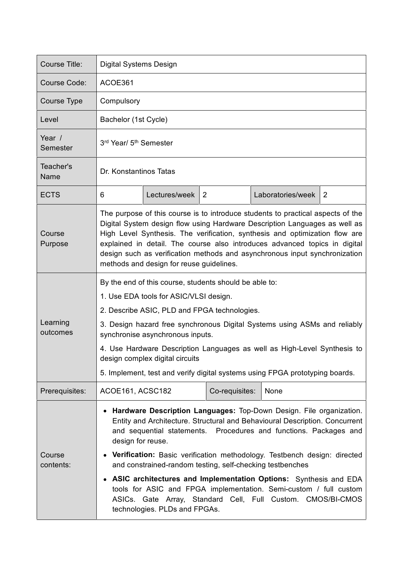| Course Title:        | Digital Systems Design                                                                                                                                                                                                                                                                                                                                                                                                                                                                                                                                                                                                         |               |                |  |                   |   |
|----------------------|--------------------------------------------------------------------------------------------------------------------------------------------------------------------------------------------------------------------------------------------------------------------------------------------------------------------------------------------------------------------------------------------------------------------------------------------------------------------------------------------------------------------------------------------------------------------------------------------------------------------------------|---------------|----------------|--|-------------------|---|
| Course Code:         | ACOE361                                                                                                                                                                                                                                                                                                                                                                                                                                                                                                                                                                                                                        |               |                |  |                   |   |
| Course Type          | Compulsory                                                                                                                                                                                                                                                                                                                                                                                                                                                                                                                                                                                                                     |               |                |  |                   |   |
| Level                | Bachelor (1st Cycle)                                                                                                                                                                                                                                                                                                                                                                                                                                                                                                                                                                                                           |               |                |  |                   |   |
| Year /<br>Semester   | 3rd Year/ 5 <sup>th</sup> Semester                                                                                                                                                                                                                                                                                                                                                                                                                                                                                                                                                                                             |               |                |  |                   |   |
| Teacher's<br>Name    | Dr. Konstantinos Tatas                                                                                                                                                                                                                                                                                                                                                                                                                                                                                                                                                                                                         |               |                |  |                   |   |
| <b>ECTS</b>          | 6                                                                                                                                                                                                                                                                                                                                                                                                                                                                                                                                                                                                                              | Lectures/week | 2              |  | Laboratories/week | 2 |
| Course<br>Purpose    | The purpose of this course is to introduce students to practical aspects of the<br>Digital System design flow using Hardware Description Languages as well as<br>High Level Synthesis. The verification, synthesis and optimization flow are<br>explained in detail. The course also introduces advanced topics in digital<br>design such as verification methods and asynchronous input synchronization<br>methods and design for reuse guidelines.                                                                                                                                                                           |               |                |  |                   |   |
| Learning<br>outcomes | By the end of this course, students should be able to:<br>1. Use EDA tools for ASIC/VLSI design.<br>2. Describe ASIC, PLD and FPGA technologies.<br>3. Design hazard free synchronous Digital Systems using ASMs and reliably<br>synchronise asynchronous inputs.<br>4. Use Hardware Description Languages as well as High-Level Synthesis to<br>design complex digital circuits<br>5. Implement, test and verify digital systems using FPGA prototyping boards.                                                                                                                                                               |               |                |  |                   |   |
| Prerequisites:       | ACOE161, ACSC182                                                                                                                                                                                                                                                                                                                                                                                                                                                                                                                                                                                                               |               | Co-requisites: |  | None              |   |
| Course<br>contents:  | Hardware Description Languages: Top-Down Design. File organization.<br>Entity and Architecture. Structural and Behavioural Description. Concurrent<br>and sequential statements. Procedures and functions. Packages and<br>design for reuse.<br>Verification: Basic verification methodology. Testbench design: directed<br>and constrained-random testing, self-checking testbenches<br>ASIC architectures and Implementation Options: Synthesis and EDA<br>tools for ASIC and FPGA implementation. Semi-custom / full custom<br>ASICs. Gate Array, Standard Cell, Full Custom. CMOS/BI-CMOS<br>technologies. PLDs and FPGAs. |               |                |  |                   |   |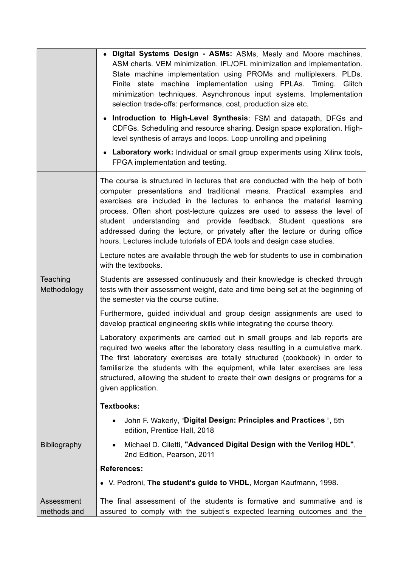|                           | • Digital Systems Design - ASMs: ASMs, Mealy and Moore machines.<br>ASM charts. VEM minimization. IFL/OFL minimization and implementation.<br>State machine implementation using PROMs and multiplexers. PLDs.<br>Finite state machine implementation using FPLAs. Timing.<br>Glitch<br>minimization techniques. Asynchronous input systems. Implementation<br>selection trade-offs: performance, cost, production size etc.<br>• Introduction to High-Level Synthesis: FSM and datapath, DFGs and<br>CDFGs. Scheduling and resource sharing. Design space exploration. High-<br>level synthesis of arrays and loops. Loop unrolling and pipelining<br>• Laboratory work: Individual or small group experiments using Xilinx tools, |  |  |  |  |
|---------------------------|-------------------------------------------------------------------------------------------------------------------------------------------------------------------------------------------------------------------------------------------------------------------------------------------------------------------------------------------------------------------------------------------------------------------------------------------------------------------------------------------------------------------------------------------------------------------------------------------------------------------------------------------------------------------------------------------------------------------------------------|--|--|--|--|
|                           | FPGA implementation and testing.                                                                                                                                                                                                                                                                                                                                                                                                                                                                                                                                                                                                                                                                                                    |  |  |  |  |
| Teaching<br>Methodology   | The course is structured in lectures that are conducted with the help of both<br>computer presentations and traditional means. Practical examples and<br>exercises are included in the lectures to enhance the material learning<br>process. Often short post-lecture quizzes are used to assess the level of<br>student understanding and provide feedback. Student questions are<br>addressed during the lecture, or privately after the lecture or during office<br>hours. Lectures include tutorials of EDA tools and design case studies.                                                                                                                                                                                      |  |  |  |  |
|                           | Lecture notes are available through the web for students to use in combination<br>with the textbooks.                                                                                                                                                                                                                                                                                                                                                                                                                                                                                                                                                                                                                               |  |  |  |  |
|                           | Students are assessed continuously and their knowledge is checked through<br>tests with their assessment weight, date and time being set at the beginning of<br>the semester via the course outline.                                                                                                                                                                                                                                                                                                                                                                                                                                                                                                                                |  |  |  |  |
|                           | Furthermore, guided individual and group design assignments are used to<br>develop practical engineering skills while integrating the course theory.                                                                                                                                                                                                                                                                                                                                                                                                                                                                                                                                                                                |  |  |  |  |
|                           | Laboratory experiments are carried out in small groups and lab reports are<br>required two weeks after the laboratory class resulting in a cumulative mark.<br>The first laboratory exercises are totally structured (cookbook) in order to<br>familiarize the students with the equipment, while later exercises are less<br>structured, allowing the student to create their own designs or programs for a<br>given application.                                                                                                                                                                                                                                                                                                  |  |  |  |  |
| <b>Bibliography</b>       | <b>Textbooks:</b>                                                                                                                                                                                                                                                                                                                                                                                                                                                                                                                                                                                                                                                                                                                   |  |  |  |  |
|                           | John F. Wakerly, "Digital Design: Principles and Practices", 5th<br>edition, Prentice Hall, 2018                                                                                                                                                                                                                                                                                                                                                                                                                                                                                                                                                                                                                                    |  |  |  |  |
|                           | Michael D. Ciletti, "Advanced Digital Design with the Verilog HDL",<br>2nd Edition, Pearson, 2011                                                                                                                                                                                                                                                                                                                                                                                                                                                                                                                                                                                                                                   |  |  |  |  |
|                           | <b>References:</b>                                                                                                                                                                                                                                                                                                                                                                                                                                                                                                                                                                                                                                                                                                                  |  |  |  |  |
|                           | • V. Pedroni, The student's guide to VHDL, Morgan Kaufmann, 1998.                                                                                                                                                                                                                                                                                                                                                                                                                                                                                                                                                                                                                                                                   |  |  |  |  |
| Assessment<br>methods and | The final assessment of the students is formative and summative and is<br>assured to comply with the subject's expected learning outcomes and the                                                                                                                                                                                                                                                                                                                                                                                                                                                                                                                                                                                   |  |  |  |  |